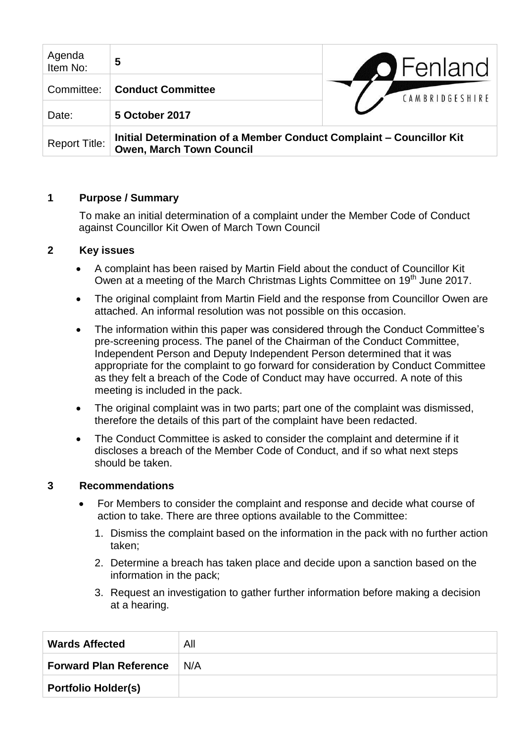| Agenda<br>Item No:   | 5                                                                                                       | <b>O</b> Fenland |
|----------------------|---------------------------------------------------------------------------------------------------------|------------------|
| Committee:           | <b>Conduct Committee</b>                                                                                | CAMBRIDGESHIRE   |
| Date:                | 5 October 2017                                                                                          |                  |
| <b>Report Title:</b> | Initial Determination of a Member Conduct Complaint – Councillor Kit<br><b>Owen, March Town Council</b> |                  |

### **1 Purpose / Summary**

To make an initial determination of a complaint under the Member Code of Conduct against Councillor Kit Owen of March Town Council

### **2 Key issues**

- A complaint has been raised by Martin Field about the conduct of Councillor Kit Owen at a meeting of the March Christmas Lights Committee on 19<sup>th</sup> June 2017.
- The original complaint from Martin Field and the response from Councillor Owen are attached. An informal resolution was not possible on this occasion.
- The information within this paper was considered through the Conduct Committee's pre-screening process. The panel of the Chairman of the Conduct Committee, Independent Person and Deputy Independent Person determined that it was appropriate for the complaint to go forward for consideration by Conduct Committee as they felt a breach of the Code of Conduct may have occurred. A note of this meeting is included in the pack.
- The original complaint was in two parts; part one of the complaint was dismissed, therefore the details of this part of the complaint have been redacted.
- The Conduct Committee is asked to consider the complaint and determine if it discloses a breach of the Member Code of Conduct, and if so what next steps should be taken.

#### **3 Recommendations**

- For Members to consider the complaint and response and decide what course of action to take. There are three options available to the Committee:
	- 1. Dismiss the complaint based on the information in the pack with no further action taken;
	- 2. Determine a breach has taken place and decide upon a sanction based on the information in the pack;
	- 3. Request an investigation to gather further information before making a decision at a hearing.

| <b>Wards Affected</b>         | All |
|-------------------------------|-----|
| <b>Forward Plan Reference</b> | N/A |
| <b>Portfolio Holder(s)</b>    |     |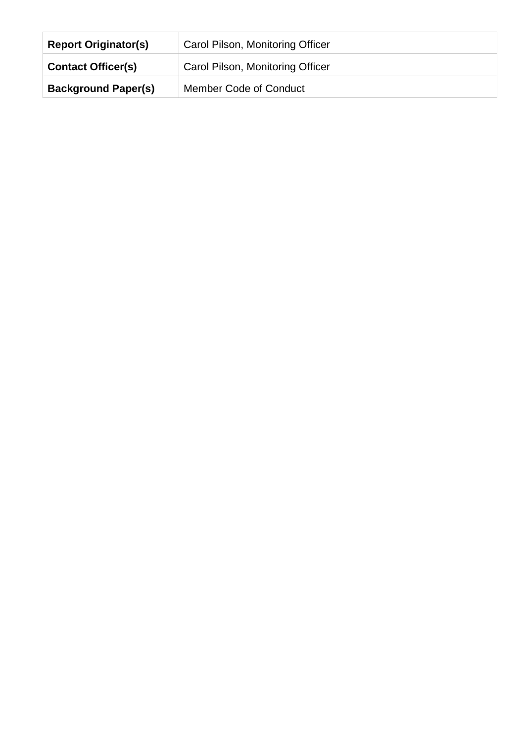| <b>Report Originator(s)</b> | Carol Pilson, Monitoring Officer |
|-----------------------------|----------------------------------|
| <b>Contact Officer(s)</b>   | Carol Pilson, Monitoring Officer |
| <b>Background Paper(s)</b>  | <b>Member Code of Conduct</b>    |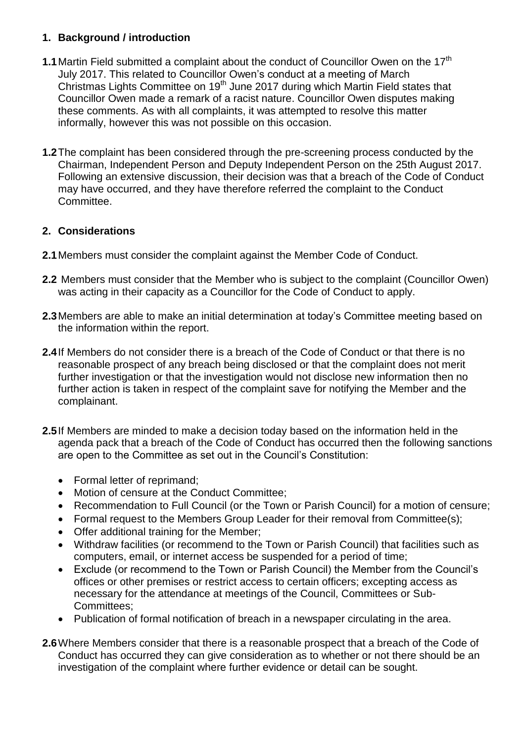### **1. Background / introduction**

- **1.1** Martin Field submitted a complaint about the conduct of Councillor Owen on the 17<sup>th</sup> July 2017. This related to Councillor Owen's conduct at a meeting of March Christmas Lights Committee on 19<sup>th</sup> June 2017 during which Martin Field states that Councillor Owen made a remark of a racist nature. Councillor Owen disputes making these comments. As with all complaints, it was attempted to resolve this matter informally, however this was not possible on this occasion.
- **1.2**The complaint has been considered through the pre-screening process conducted by the Chairman, Independent Person and Deputy Independent Person on the 25th August 2017. Following an extensive discussion, their decision was that a breach of the Code of Conduct may have occurred, and they have therefore referred the complaint to the Conduct Committee.

# **2. Considerations**

- **2.1**Members must consider the complaint against the Member Code of Conduct.
- **2.2** Members must consider that the Member who is subject to the complaint (Councillor Owen) was acting in their capacity as a Councillor for the Code of Conduct to apply.
- **2.3**Members are able to make an initial determination at today's Committee meeting based on the information within the report.
- **2.4**If Members do not consider there is a breach of the Code of Conduct or that there is no reasonable prospect of any breach being disclosed or that the complaint does not merit further investigation or that the investigation would not disclose new information then no further action is taken in respect of the complaint save for notifying the Member and the complainant.
- **2.5**If Members are minded to make a decision today based on the information held in the agenda pack that a breach of the Code of Conduct has occurred then the following sanctions are open to the Committee as set out in the Council's Constitution:
	- Formal letter of reprimand;
	- Motion of censure at the Conduct Committee:
	- Recommendation to Full Council (or the Town or Parish Council) for a motion of censure;
	- Formal request to the Members Group Leader for their removal from Committee(s);
	- Offer additional training for the Member;
	- Withdraw facilities (or recommend to the Town or Parish Council) that facilities such as computers, email, or internet access be suspended for a period of time;
	- Exclude (or recommend to the Town or Parish Council) the Member from the Council's offices or other premises or restrict access to certain officers; excepting access as necessary for the attendance at meetings of the Council, Committees or Sub-Committees;
	- Publication of formal notification of breach in a newspaper circulating in the area.
- **2.6**Where Members consider that there is a reasonable prospect that a breach of the Code of Conduct has occurred they can give consideration as to whether or not there should be an investigation of the complaint where further evidence or detail can be sought.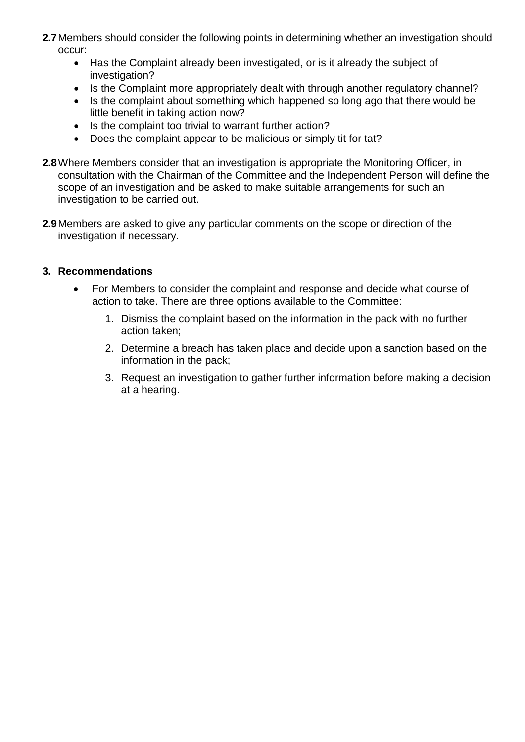- **2.7**Members should consider the following points in determining whether an investigation should occur:
	- Has the Complaint already been investigated, or is it already the subject of investigation?
	- Is the Complaint more appropriately dealt with through another regulatory channel?
	- Is the complaint about something which happened so long ago that there would be little benefit in taking action now?
	- Is the complaint too trivial to warrant further action?
	- Does the complaint appear to be malicious or simply tit for tat?
- **2.8**Where Members consider that an investigation is appropriate the Monitoring Officer, in consultation with the Chairman of the Committee and the Independent Person will define the scope of an investigation and be asked to make suitable arrangements for such an investigation to be carried out.
- **2.9**Members are asked to give any particular comments on the scope or direction of the investigation if necessary.

#### **3. Recommendations**

- For Members to consider the complaint and response and decide what course of action to take. There are three options available to the Committee:
	- 1. Dismiss the complaint based on the information in the pack with no further action taken;
	- 2. Determine a breach has taken place and decide upon a sanction based on the information in the pack;
	- 3. Request an investigation to gather further information before making a decision at a hearing.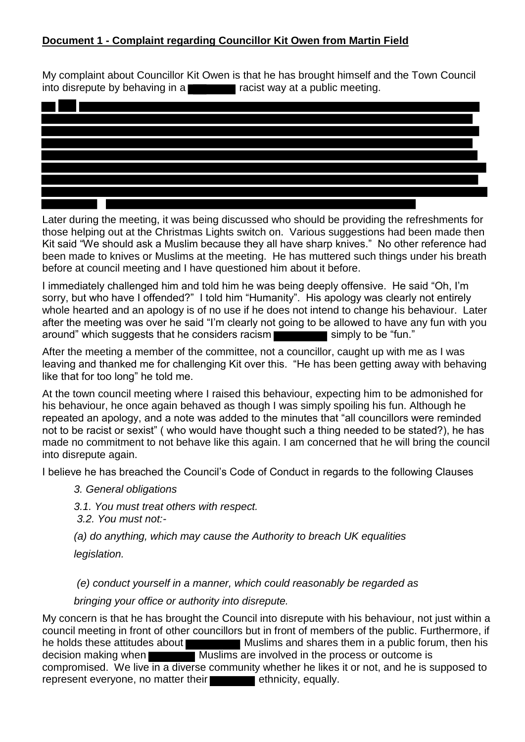# **Document 1 - Complaint regarding Councillor Kit Owen from Martin Field**

My complaint about Councillor Kit Owen is that he has brought himself and the Town Council into disrepute by behaving in a  $\Box$  racist way at a public meeting.



Later during the meeting, it was being discussed who should be providing the refreshments for those helping out at the Christmas Lights switch on. Various suggestions had been made then Kit said "We should ask a Muslim because they all have sharp knives." No other reference had been made to knives or Muslims at the meeting. He has muttered such things under his breath before at council meeting and I have questioned him about it before.

I immediately challenged him and told him he was being deeply offensive. He said "Oh, I'm sorry, but who have I offended?" I told him "Humanity". His apology was clearly not entirely whole hearted and an apology is of no use if he does not intend to change his behaviour. Later after the meeting was over he said "I'm clearly not going to be allowed to have any fun with you around" which suggests that he considers racism simply to be "fun."

After the meeting a member of the committee, not a councillor, caught up with me as I was leaving and thanked me for challenging Kit over this. "He has been getting away with behaving like that for too long" he told me.

At the town council meeting where I raised this behaviour, expecting him to be admonished for his behaviour, he once again behaved as though I was simply spoiling his fun. Although he repeated an apology, and a note was added to the minutes that "all councillors were reminded not to be racist or sexist" ( who would have thought such a thing needed to be stated?), he has made no commitment to not behave like this again. I am concerned that he will bring the council into disrepute again.

I believe he has breached the Council's Code of Conduct in regards to the following Clauses

- *3. General obligations*
- *3.1. You must treat others with respect.*
- *3.2. You must not:-*
- *(a) do anything, which may cause the Authority to breach UK equalities*

*legislation.* 

 *(e) conduct yourself in a manner, which could reasonably be regarded as* 

*bringing your office or authority into disrepute.* 

My concern is that he has brought the Council into disrepute with his behaviour, not just within a council meeting in front of other councillors but in front of members of the public. Furthermore, if he holds these attitudes about Muslims and shares them in a public forum, then his decision making when Muslims are involved in the process or outcome is compromised. We live in a diverse community whether he likes it or not, and he is supposed to represent everyone, no matter their **their** ethnicity, equally.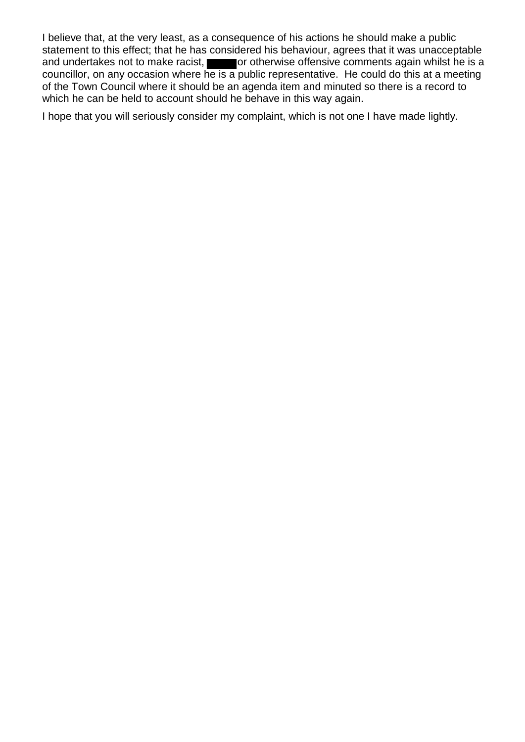I believe that, at the very least, as a consequence of his actions he should make a public statement to this effect; that he has considered his behaviour, agrees that it was unacceptable and undertakes not to make racist, or otherwise offensive comments again whilst he is a councillor, on any occasion where he is a public representative. He could do this at a meeting of the Town Council where it should be an agenda item and minuted so there is a record to which he can be held to account should he behave in this way again.

I hope that you will seriously consider my complaint, which is not one I have made lightly.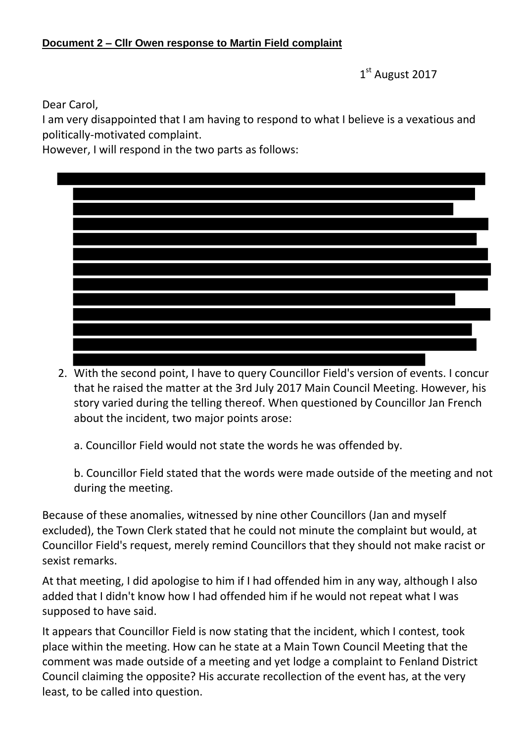# **Document 2 – Cllr Owen response to Martin Field complaint**

1st August 2017

Dear Carol,

I am very disappointed that I am having to respond to what I believe is a vexatious and politically-motivated complaint.

However, I will respond in the two parts as follows:

2. With the second point, I have to query Councillor Field's version of events. I concur that he raised the matter at the 3rd July 2017 Main Council Meeting. However, his story varied during the telling thereof. When questioned by Councillor Jan French about the incident, two major points arose:

a. Councillor Field would not state the words he was offended by.

b. Councillor Field stated that the words were made outside of the meeting and not during the meeting.

Because of these anomalies, witnessed by nine other Councillors (Jan and myself excluded), the Town Clerk stated that he could not minute the complaint but would, at Councillor Field's request, merely remind Councillors that they should not make racist or sexist remarks.

At that meeting, I did apologise to him if I had offended him in any way, although I also added that I didn't know how I had offended him if he would not repeat what I was supposed to have said.

It appears that Councillor Field is now stating that the incident, which I contest, took place within the meeting. How can he state at a Main Town Council Meeting that the comment was made outside of a meeting and yet lodge a complaint to Fenland District Council claiming the opposite? His accurate recollection of the event has, at the very least, to be called into question.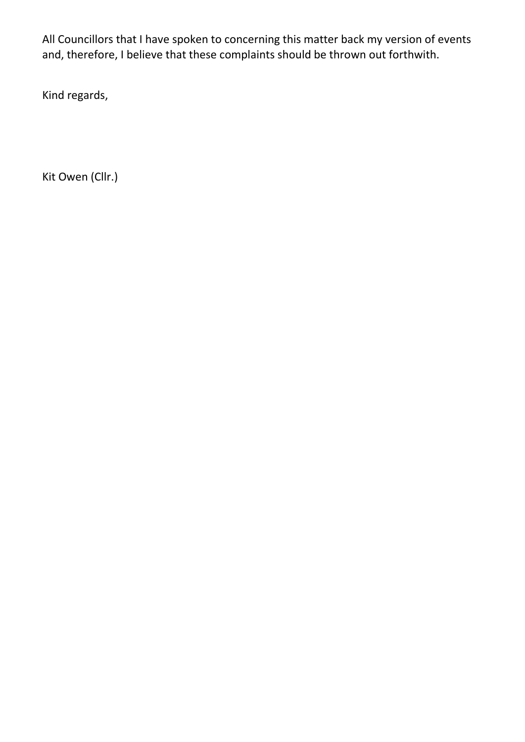All Councillors that I have spoken to concerning this matter back my version of events and, therefore, I believe that these complaints should be thrown out forthwith.

Kind regards,

Kit Owen (Cllr.)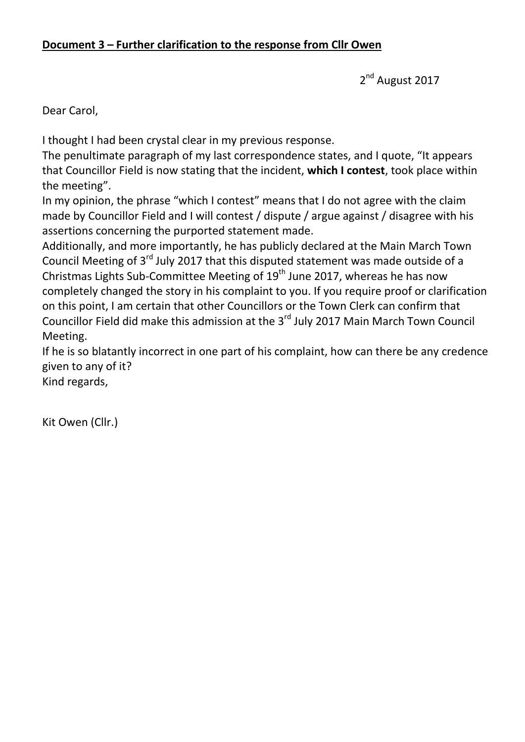2<sup>nd</sup> August 2017

Dear Carol,

I thought I had been crystal clear in my previous response.

The penultimate paragraph of my last correspondence states, and I quote, "It appears that Councillor Field is now stating that the incident, **which I contest**, took place within the meeting".

In my opinion, the phrase "which I contest" means that I do not agree with the claim made by Councillor Field and I will contest / dispute / argue against / disagree with his assertions concerning the purported statement made.

Additionally, and more importantly, he has publicly declared at the Main March Town Council Meeting of 3<sup>rd</sup> July 2017 that this disputed statement was made outside of a Christmas Lights Sub-Committee Meeting of  $19<sup>th</sup>$  June 2017, whereas he has now completely changed the story in his complaint to you. If you require proof or clarification on this point, I am certain that other Councillors or the Town Clerk can confirm that Councillor Field did make this admission at the 3<sup>rd</sup> July 2017 Main March Town Council Meeting.

If he is so blatantly incorrect in one part of his complaint, how can there be any credence given to any of it?

Kind regards,

Kit Owen (Cllr.)